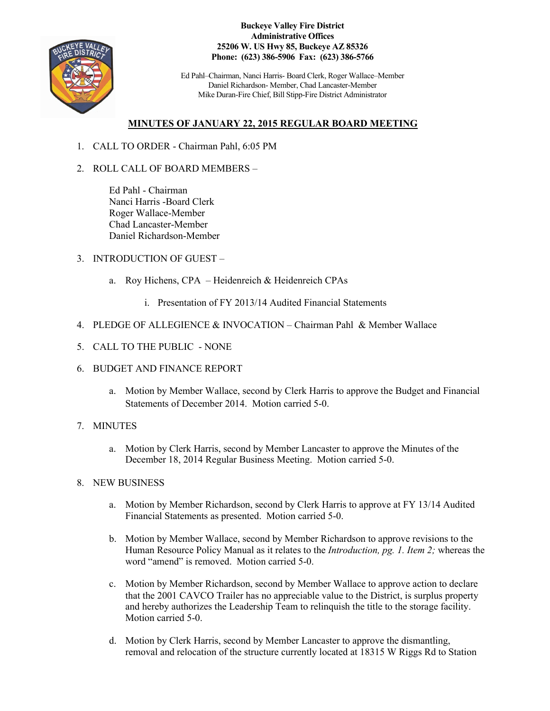

**Buckeye Valley Fire District Administrative Offices 25206 W. US Hwy 85, Buckeye AZ 85326 Phone: (623) 386-5906 Fax: (623) 386-5766**

Ed Pahl–Chairman, Nanci Harris- Board Clerk, Roger Wallace–Member Daniel Richardson- Member, Chad Lancaster-Member Mike Duran-Fire Chief, Bill Stipp-Fire District Administrator

## **MINUTES OF JANUARY 22, 2015 REGULAR BOARD MEETING**

- 1. CALL TO ORDER Chairman Pahl, 6:05 PM
- 2. ROLL CALL OF BOARD MEMBERS –

Ed Pahl - Chairman Nanci Harris -Board Clerk Roger Wallace-Member Chad Lancaster-Member Daniel Richardson-Member

- 3. INTRODUCTION OF GUEST
	- a. Roy Hichens, CPA Heidenreich & Heidenreich CPAs
		- i. Presentation of FY 2013/14 Audited Financial Statements
- 4. PLEDGE OF ALLEGIENCE & INVOCATION Chairman Pahl & Member Wallace
- 5. CALL TO THE PUBLIC NONE
- 6. BUDGET AND FINANCE REPORT
	- a. Motion by Member Wallace, second by Clerk Harris to approve the Budget and Financial Statements of December 2014. Motion carried 5-0.
- 7. MINUTES
	- a. Motion by Clerk Harris, second by Member Lancaster to approve the Minutes of the December 18, 2014 Regular Business Meeting. Motion carried 5-0.
- 8. NEW BUSINESS
	- a. Motion by Member Richardson, second by Clerk Harris to approve at FY 13/14 Audited Financial Statements as presented. Motion carried 5-0.
	- b. Motion by Member Wallace, second by Member Richardson to approve revisions to the Human Resource Policy Manual as it relates to the *Introduction, pg. 1. Item 2;* whereas the word "amend" is removed. Motion carried 5-0.
	- c. Motion by Member Richardson, second by Member Wallace to approve action to declare that the 2001 CAVCO Trailer has no appreciable value to the District, is surplus property and hereby authorizes the Leadership Team to relinquish the title to the storage facility. Motion carried 5-0.
	- d. Motion by Clerk Harris, second by Member Lancaster to approve the dismantling, removal and relocation of the structure currently located at 18315 W Riggs Rd to Station